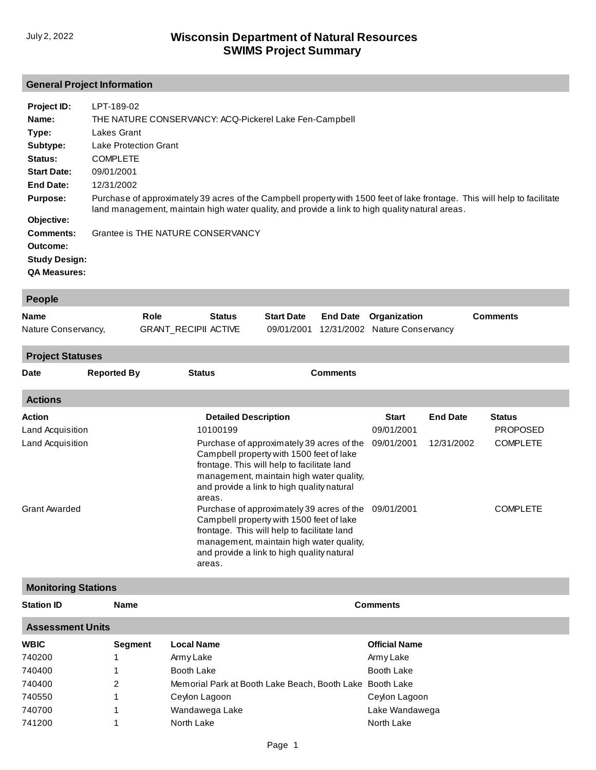# **General Project Information**

| Project ID:<br>Name:<br>Type:<br>Subtype:<br>Status:<br><b>Start Date:</b><br>End Date:<br><b>Purpose:</b> | LPT-189-02<br>THE NATURE CONSERVANCY: ACQ-Pickerel Lake Fen-Campbell<br>Lakes Grant<br>Lake Protection Grant<br><b>COMPLETE</b><br>09/01/2001<br>12/31/2002<br>Purchase of approximately 39 acres of the Campbell property with 1500 feet of lake frontage. This will help to facilitate |
|------------------------------------------------------------------------------------------------------------|------------------------------------------------------------------------------------------------------------------------------------------------------------------------------------------------------------------------------------------------------------------------------------------|
| Objective:                                                                                                 | land management, maintain high water quality, and provide a link to high quality natural areas.                                                                                                                                                                                          |
| Comments:<br>Outcome:<br><b>Study Design:</b><br><b>QA Measures:</b>                                       | Grantee is THE NATURE CONSERVANCY                                                                                                                                                                                                                                                        |

| People              |                             |               |  |  |                                          |                 |  |
|---------------------|-----------------------------|---------------|--|--|------------------------------------------|-----------------|--|
| Name                | Role                        | <b>Status</b> |  |  | <b>Start Date</b> End Date Organization  | <b>Comments</b> |  |
| Nature Conservancy, | <b>GRANT RECIPII ACTIVE</b> |               |  |  | 09/01/2001 12/31/2002 Nature Conservancy |                 |  |
|                     |                             |               |  |  |                                          |                 |  |

#### **Project Statuses**

| <b>Date</b>                | <b>Reported By</b>         | <b>Status</b>                           | <b>Comments</b>                                                                                                                                                                                                                |                            |                 |                           |
|----------------------------|----------------------------|-----------------------------------------|--------------------------------------------------------------------------------------------------------------------------------------------------------------------------------------------------------------------------------|----------------------------|-----------------|---------------------------|
| <b>Actions</b>             |                            |                                         |                                                                                                                                                                                                                                |                            |                 |                           |
| Action<br>Land Acquisition |                            | <b>Detailed Description</b><br>10100199 |                                                                                                                                                                                                                                | <b>Start</b><br>09/01/2001 | <b>End Date</b> | Status<br><b>PROPOSED</b> |
| Land Acquisition           |                            | areas.                                  | Purchase of approximately 39 acres of the<br>Campbell property with 1500 feet of lake<br>frontage. This will help to facilitate land<br>management, maintain high water quality,<br>and provide a link to high quality natural | 09/01/2001                 | 12/31/2002      | <b>COMPLETE</b>           |
| <b>Grant Awarded</b>       |                            | areas.                                  | Purchase of approximately 39 acres of the<br>Campbell property with 1500 feet of lake<br>frontage. This will help to facilitate land<br>management, maintain high water quality,<br>and provide a link to high quality natural | 09/01/2001                 |                 | <b>COMPLETE</b>           |
|                            | <b>Monitoring Stations</b> |                                         |                                                                                                                                                                                                                                |                            |                 |                           |

| <b>Name</b>             |                   | <b>Comments</b>                                          |  |  |  |  |  |
|-------------------------|-------------------|----------------------------------------------------------|--|--|--|--|--|
| <b>Assessment Units</b> |                   |                                                          |  |  |  |  |  |
| Segment                 | <b>Local Name</b> | <b>Official Name</b>                                     |  |  |  |  |  |
|                         | Army Lake         | Army Lake                                                |  |  |  |  |  |
|                         | Booth Lake        | Booth Lake                                               |  |  |  |  |  |
| 2                       |                   |                                                          |  |  |  |  |  |
|                         | Ceylon Lagoon     | Ceylon Lagoon                                            |  |  |  |  |  |
|                         | Wandawega Lake    | Lake Wandawega                                           |  |  |  |  |  |
|                         | North Lake        | North Lake                                               |  |  |  |  |  |
|                         |                   | Memorial Park at Booth Lake Beach, Booth Lake Booth Lake |  |  |  |  |  |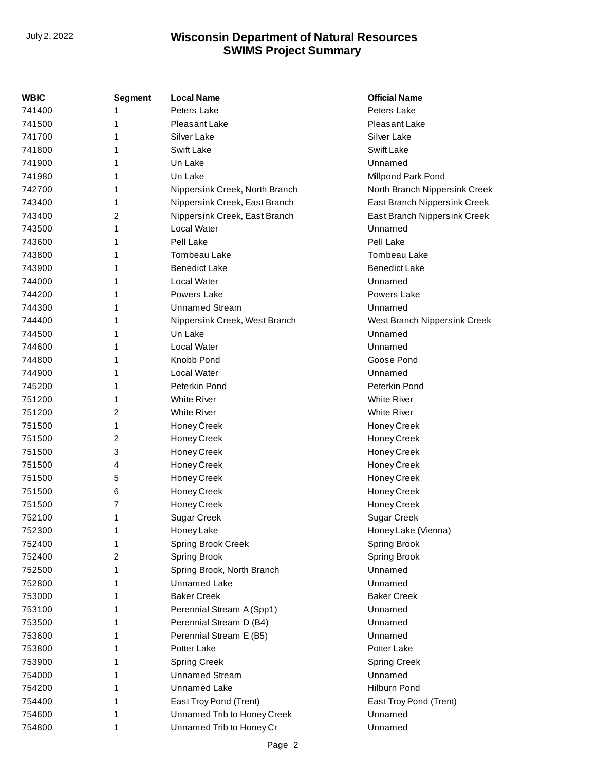| WBIC   | <b>Segment</b> | <b>Local Name</b>              | <b>Official Name</b>          |
|--------|----------------|--------------------------------|-------------------------------|
| 741400 |                | Peters Lake                    | Peters Lake                   |
| 741500 | 1              | Pleasant Lake                  | Pleasant Lake                 |
| 741700 | 1              | Silver Lake                    | Silver Lake                   |
| 741800 | 1              | Swift Lake                     | <b>Swift Lake</b>             |
| 741900 | 1              | Un Lake                        | Unnamed                       |
| 741980 | 1              | Un Lake                        | Millpond Park Pond            |
| 742700 | 1              | Nippersink Creek, North Branch | North Branch Nippersink Creek |
| 743400 | 1              | Nippersink Creek, East Branch  | East Branch Nippersink Creek  |
| 743400 | 2              | Nippersink Creek, East Branch  | East Branch Nippersink Creek  |
| 743500 | 1              | Local Water                    | Unnamed                       |
| 743600 | 1              | Pell Lake                      | Pell Lake                     |
| 743800 | 1              | Tombeau Lake                   | Tombeau Lake                  |
| 743900 | 1              | <b>Benedict Lake</b>           | <b>Benedict Lake</b>          |
| 744000 | 1              | Local Water                    | Unnamed                       |
| 744200 | 1              | Powers Lake                    | Powers Lake                   |
| 744300 | 1              | <b>Unnamed Stream</b>          | Unnamed                       |
| 744400 | 1              | Nippersink Creek, West Branch  | West Branch Nippersink Creek  |
| 744500 | 1              | Un Lake                        | Unnamed                       |
| 744600 | 1              | Local Water                    | Unnamed                       |
| 744800 | 1              | Knobb Pond                     | Goose Pond                    |
| 744900 | 1              | Local Water                    | Unnamed                       |
| 745200 | 1              | Peterkin Pond                  | Peterkin Pond                 |
| 751200 | 1              | <b>White River</b>             | <b>White River</b>            |
| 751200 | 2              | <b>White River</b>             | <b>White River</b>            |
| 751500 | 1              | Honey Creek                    | Honey Creek                   |
| 751500 | 2              | Honey Creek                    | Honey Creek                   |
| 751500 | 3              | Honey Creek                    | Honey Creek                   |
| 751500 | 4              | Honey Creek                    | Honey Creek                   |
| 751500 | 5              | Honey Creek                    | Honey Creek                   |
| 751500 | 6              | Honey Creek                    | Honey Creek                   |
| 751500 | 7              | Honey Creek                    | Honey Creek                   |
| 752100 | 1              | <b>Sugar Creek</b>             | <b>Sugar Creek</b>            |
| 752300 | 1              | Honey Lake                     | Honey Lake (Vienna)           |
| 752400 | 1              | <b>Spring Brook Creek</b>      | Spring Brook                  |
| 752400 | 2              | <b>Spring Brook</b>            | Spring Brook                  |
| 752500 | 1              | Spring Brook, North Branch     | Unnamed                       |
| 752800 | 1              | Unnamed Lake                   | Unnamed                       |
| 753000 | 1              | <b>Baker Creek</b>             | <b>Baker Creek</b>            |
| 753100 | 1              | Perennial Stream A (Spp1)      | Unnamed                       |
| 753500 | 1              | Perennial Stream D (B4)        | Unnamed                       |
| 753600 | 1              | Perennial Stream E (B5)        | Unnamed                       |
| 753800 | 1              | Potter Lake                    | Potter Lake                   |
| 753900 | 1              | <b>Spring Creek</b>            | <b>Spring Creek</b>           |
| 754000 | 1              | <b>Unnamed Stream</b>          | Unnamed                       |
| 754200 | 1              | Unnamed Lake                   | Hilburn Pond                  |
| 754400 | 1              | East Troy Pond (Trent)         | East Troy Pond (Trent)        |
| 754600 | 1              | Unnamed Trib to Honey Creek    | Unnamed                       |
| 754800 | 1              | Unnamed Trib to Honey Cr       | Unnamed                       |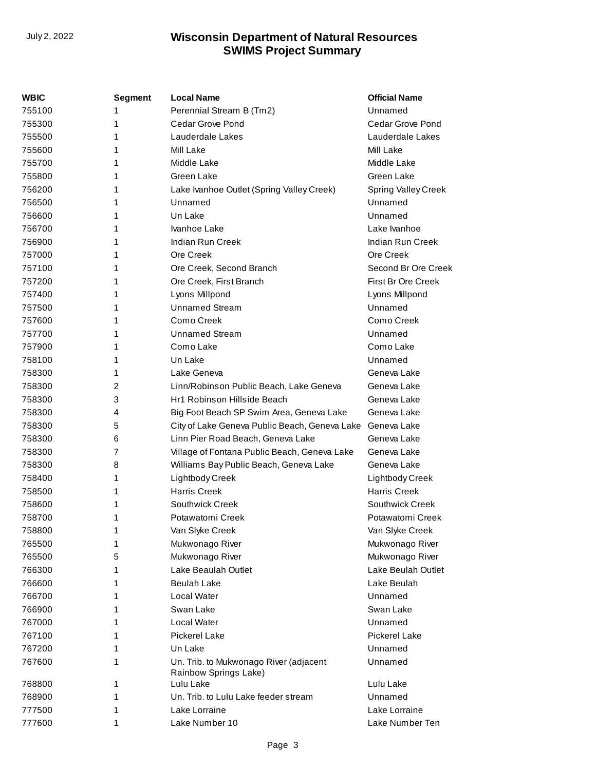| <b>WBIC</b> | <b>Segment</b> | <b>Local Name</b>                                               | <b>Official Name</b>       |
|-------------|----------------|-----------------------------------------------------------------|----------------------------|
| 755100      | 1              | Perennial Stream B (Tm2)                                        | Unnamed                    |
| 755300      | 1              | <b>Cedar Grove Pond</b>                                         | Cedar Grove Pond           |
| 755500      | 1              | Lauderdale Lakes                                                | Lauderdale Lakes           |
| 755600      | 1              | Mill Lake                                                       | Mill Lake                  |
| 755700      | 1              | Middle Lake                                                     | Middle Lake                |
| 755800      | 1              | Green Lake                                                      | Green Lake                 |
| 756200      | 1              | Lake Ivanhoe Outlet (Spring Valley Creek)                       | <b>Spring Valley Creek</b> |
| 756500      | 1              | Unnamed                                                         | Unnamed                    |
| 756600      | 1              | Un Lake                                                         | Unnamed                    |
| 756700      | 1              | Ivanhoe Lake                                                    | Lake Ivanhoe               |
| 756900      | 1              | Indian Run Creek                                                | Indian Run Creek           |
| 757000      | 1              | Ore Creek                                                       | Ore Creek                  |
| 757100      | 1              | Ore Creek, Second Branch                                        | Second Br Ore Creek        |
| 757200      | 1              | Ore Creek, First Branch                                         | First Br Ore Creek         |
| 757400      | 1              | Lyons Millpond                                                  | Lyons Millpond             |
| 757500      | 1              | <b>Unnamed Stream</b>                                           | Unnamed                    |
| 757600      | 1              | Como Creek                                                      | Como Creek                 |
| 757700      | 1              | <b>Unnamed Stream</b>                                           | Unnamed                    |
| 757900      | 1              | Como Lake                                                       | Como Lake                  |
| 758100      | 1              | Un Lake                                                         | Unnamed                    |
| 758300      | 1              | Lake Geneva                                                     | Geneva Lake                |
| 758300      | 2              | Linn/Robinson Public Beach, Lake Geneva                         | Geneva Lake                |
| 758300      | 3              | Hr1 Robinson Hillside Beach                                     | Geneva Lake                |
| 758300      | 4              | Big Foot Beach SP Swim Area, Geneva Lake                        | Geneva Lake                |
| 758300      | 5              | City of Lake Geneva Public Beach, Geneva Lake                   | Geneva Lake                |
| 758300      | 6              | Linn Pier Road Beach, Geneva Lake                               | Geneva Lake                |
| 758300      | 7              | Village of Fontana Public Beach, Geneva Lake                    | Geneva Lake                |
| 758300      | 8              | Williams Bay Public Beach, Geneva Lake                          | Geneva Lake                |
| 758400      | 1              | Lightbody Creek                                                 | Lightbody Creek            |
| 758500      | 1              | <b>Harris Creek</b>                                             | <b>Harris Creek</b>        |
| 758600      | 1              | Southwick Creek                                                 | Southwick Creek            |
| 758700      | 1              | Potawatomi Creek                                                | Potawatomi Creek           |
| 758800      | 1              | Van Slyke Creek                                                 | Van Slyke Creek            |
| 765500      | 1              | Mukwonago River                                                 | Mukwonago River            |
| 765500      | 5              | Mukwonago River                                                 | Mukwonago River            |
| 766300      | 1              | Lake Beaulah Outlet                                             | Lake Beulah Outlet         |
| 766600      | 1              | <b>Beulah Lake</b>                                              | Lake Beulah                |
| 766700      | 1              | Local Water                                                     | Unnamed                    |
| 766900      | 1              | Swan Lake                                                       | Swan Lake                  |
| 767000      | 1              | Local Water                                                     | Unnamed                    |
| 767100      | 1              | <b>Pickerel Lake</b>                                            | <b>Pickerel Lake</b>       |
| 767200      | 1              | Un Lake                                                         | Unnamed                    |
| 767600      | 1              | Un. Trib. to Mukwonago River (adjacent<br>Rainbow Springs Lake) | Unnamed                    |
| 768800      | 1              | Lulu Lake                                                       | Lulu Lake                  |
| 768900      | 1              | Un. Trib. to Lulu Lake feeder stream                            | Unnamed                    |
| 777500      | 1              | Lake Lorraine                                                   | Lake Lorraine              |
| 777600      | 1              | Lake Number 10                                                  | Lake Number Ten            |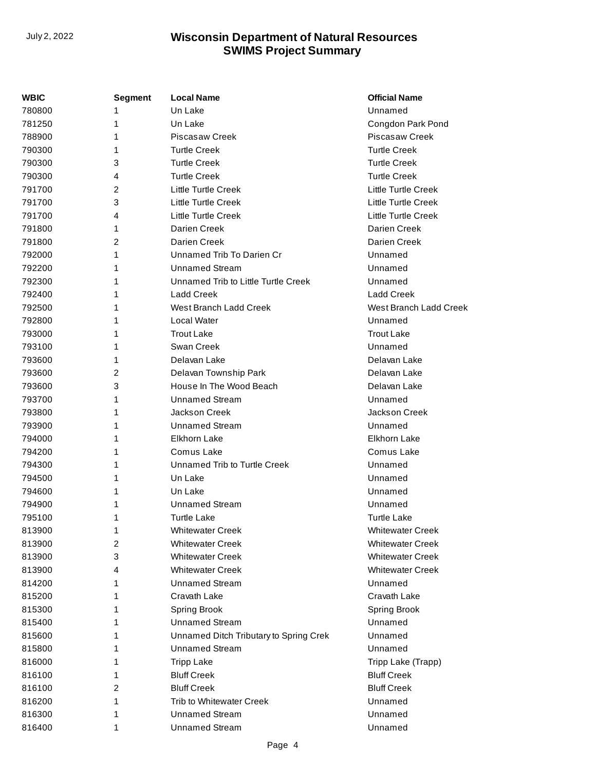| <b>WBIC</b> | <b>Segment</b> | <b>Local Name</b>                      | <b>Official Name</b>       |
|-------------|----------------|----------------------------------------|----------------------------|
| 780800      | 1              | Un Lake                                | Unnamed                    |
| 781250      | 1              | Un Lake                                | Congdon Park Pond          |
| 788900      | 1              | <b>Piscasaw Creek</b>                  | Piscasaw Creek             |
| 790300      | 1              | <b>Turtle Creek</b>                    | <b>Turtle Creek</b>        |
| 790300      | 3              | <b>Turtle Creek</b>                    | <b>Turtle Creek</b>        |
| 790300      | 4              | <b>Turtle Creek</b>                    | <b>Turtle Creek</b>        |
| 791700      | 2              | Little Turtle Creek                    | Little Turtle Creek        |
| 791700      | 3              | Little Turtle Creek                    | <b>Little Turtle Creek</b> |
| 791700      | $\overline{4}$ | <b>Little Turtle Creek</b>             | Little Turtle Creek        |
| 791800      | 1              | Darien Creek                           | Darien Creek               |
| 791800      | $\overline{2}$ | Darien Creek                           | Darien Creek               |
| 792000      | 1              | Unnamed Trib To Darien Cr              | Unnamed                    |
| 792200      | 1              | <b>Unnamed Stream</b>                  | Unnamed                    |
| 792300      | 1              | Unnamed Trib to Little Turtle Creek    | Unnamed                    |
| 792400      | 1              | <b>Ladd Creek</b>                      | <b>Ladd Creek</b>          |
| 792500      | 1              | West Branch Ladd Creek                 | West Branch Ladd Creek     |
| 792800      | 1              | Local Water                            | Unnamed                    |
| 793000      | 1              | <b>Trout Lake</b>                      | <b>Trout Lake</b>          |
| 793100      | 1              | Swan Creek                             | Unnamed                    |
| 793600      | 1              | Delavan Lake                           | Delavan Lake               |
| 793600      | 2              | Delavan Township Park                  | Delavan Lake               |
| 793600      | 3              | House In The Wood Beach                | Delavan Lake               |
| 793700      | 1              | <b>Unnamed Stream</b>                  | Unnamed                    |
| 793800      | 1              | Jackson Creek                          | Jackson Creek              |
| 793900      | 1              | <b>Unnamed Stream</b>                  | Unnamed                    |
| 794000      | 1              | Elkhorn Lake                           | Elkhorn Lake               |
| 794200      | 1              | Comus Lake                             | Comus Lake                 |
| 794300      | 1              | Unnamed Trib to Turtle Creek           | Unnamed                    |
| 794500      | 1              | Un Lake                                | Unnamed                    |
| 794600      | 1              | Un Lake                                | Unnamed                    |
| 794900      | 1              | Unnamed Stream                         | Unnamed                    |
| 795100      | 1              | <b>Turtle Lake</b>                     | <b>Turtle Lake</b>         |
| 813900      | 1              | <b>Whitewater Creek</b>                | <b>Whitewater Creek</b>    |
| 813900      | 2              | <b>Whitewater Creek</b>                | <b>Whitewater Creek</b>    |
| 813900      | 3              | <b>Whitewater Creek</b>                | <b>Whitewater Creek</b>    |
| 813900      | 4              | <b>Whitewater Creek</b>                | <b>Whitewater Creek</b>    |
| 814200      | 1              | <b>Unnamed Stream</b>                  | Unnamed                    |
| 815200      | 1              | Cravath Lake                           | Cravath Lake               |
| 815300      | 1              | Spring Brook                           | Spring Brook               |
| 815400      | 1              | <b>Unnamed Stream</b>                  | Unnamed                    |
| 815600      | 1              | Unnamed Ditch Tributary to Spring Crek | Unnamed                    |
| 815800      | 1              | <b>Unnamed Stream</b>                  | Unnamed                    |
| 816000      | 1              | <b>Tripp Lake</b>                      | Tripp Lake (Trapp)         |
| 816100      | 1              | <b>Bluff Creek</b>                     | <b>Bluff Creek</b>         |
| 816100      | 2              | <b>Bluff Creek</b>                     | <b>Bluff Creek</b>         |
| 816200      | 1              | Trib to Whitewater Creek               | Unnamed                    |
| 816300      | 1              | <b>Unnamed Stream</b>                  | Unnamed                    |
| 816400      | 1              | <b>Unnamed Stream</b>                  | Unnamed                    |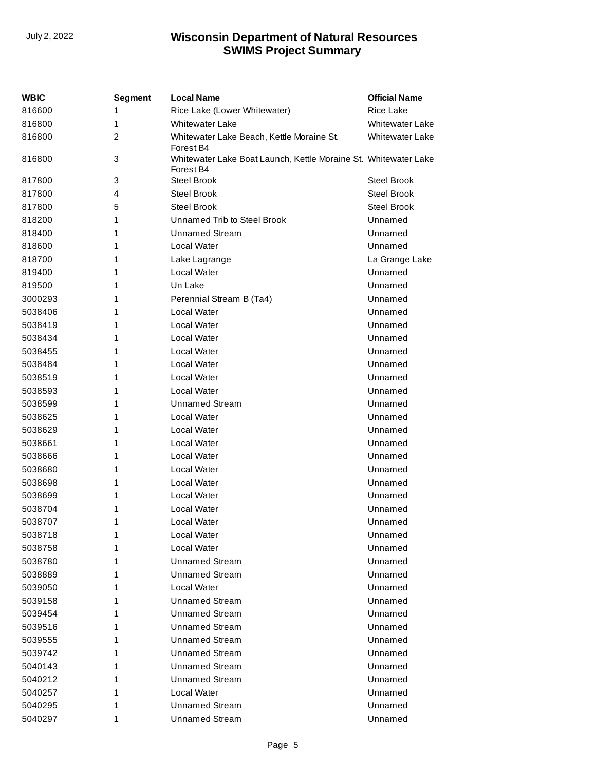| <b>WBIC</b> | Segment        | <b>Local Name</b>                                                            | <b>Official Name</b>   |
|-------------|----------------|------------------------------------------------------------------------------|------------------------|
| 816600      | 1              | Rice Lake (Lower Whitewater)                                                 | <b>Rice Lake</b>       |
| 816800      | 1              | <b>Whitewater Lake</b>                                                       | <b>Whitewater Lake</b> |
| 816800      | $\overline{c}$ | Whitewater Lake Beach, Kettle Moraine St.<br>Forest B4                       | <b>Whitewater Lake</b> |
| 816800      | 3              | Whitewater Lake Boat Launch, Kettle Moraine St. Whitewater Lake<br>Forest B4 |                        |
| 817800      | 3              | <b>Steel Brook</b>                                                           | <b>Steel Brook</b>     |
| 817800      | 4              | <b>Steel Brook</b>                                                           | <b>Steel Brook</b>     |
| 817800      | 5              | <b>Steel Brook</b>                                                           | <b>Steel Brook</b>     |
| 818200      | 1              | Unnamed Trib to Steel Brook                                                  | Unnamed                |
| 818400      | 1              | <b>Unnamed Stream</b>                                                        | Unnamed                |
| 818600      | 1              | Local Water                                                                  | Unnamed                |
| 818700      | 1              | Lake Lagrange                                                                | La Grange Lake         |
| 819400      | 1              | Local Water                                                                  | Unnamed                |
| 819500      | 1              | Un Lake                                                                      | Unnamed                |
| 3000293     | 1              | Perennial Stream B (Ta4)                                                     | Unnamed                |
| 5038406     | 1              | Local Water                                                                  | Unnamed                |
| 5038419     | 1              | Local Water                                                                  | Unnamed                |
| 5038434     | 1              | Local Water                                                                  | Unnamed                |
| 5038455     | 1              | Local Water                                                                  | Unnamed                |
| 5038484     | 1              | Local Water                                                                  | Unnamed                |
| 5038519     | 1              | Local Water                                                                  | Unnamed                |
| 5038593     | 1              | Local Water                                                                  | Unnamed                |
| 5038599     | 1              | Unnamed Stream                                                               | Unnamed                |
| 5038625     | 1              | Local Water                                                                  | Unnamed                |
| 5038629     | 1              | Local Water                                                                  | Unnamed                |
| 5038661     | 1              | Local Water                                                                  | Unnamed                |
| 5038666     | 1              | Local Water                                                                  | Unnamed                |
| 5038680     | 1              | Local Water                                                                  | Unnamed                |
| 5038698     | 1              | Local Water                                                                  | Unnamed                |
| 5038699     | 1              | Local Water                                                                  | Unnamed                |
| 5038704     | 1              | Local Water                                                                  | Unnamed                |
| 5038707     | 1              | Local Water                                                                  | Unnamed                |
| 5038718     | 1              | Local Water                                                                  | Unnamed                |
| 5038758     | 1              | Local Water                                                                  | Unnamed                |
| 5038780     | 1              | <b>Unnamed Stream</b>                                                        | Unnamed                |
| 5038889     | 1              | <b>Unnamed Stream</b>                                                        | Unnamed                |
| 5039050     | 1              | Local Water                                                                  | Unnamed                |
| 5039158     | 1              | <b>Unnamed Stream</b>                                                        | Unnamed                |
| 5039454     | 1              | <b>Unnamed Stream</b>                                                        | Unnamed                |
| 5039516     | 1              | <b>Unnamed Stream</b>                                                        | Unnamed                |
| 5039555     | 1              | <b>Unnamed Stream</b>                                                        | Unnamed                |
| 5039742     | 1              | <b>Unnamed Stream</b>                                                        | Unnamed                |
| 5040143     | 1              | <b>Unnamed Stream</b>                                                        | Unnamed                |
| 5040212     | 1              | <b>Unnamed Stream</b>                                                        | Unnamed                |
| 5040257     | 1              | Local Water                                                                  | Unnamed                |
| 5040295     | 1              | <b>Unnamed Stream</b>                                                        | Unnamed                |
| 5040297     | 1              | <b>Unnamed Stream</b>                                                        | Unnamed                |
|             |                |                                                                              |                        |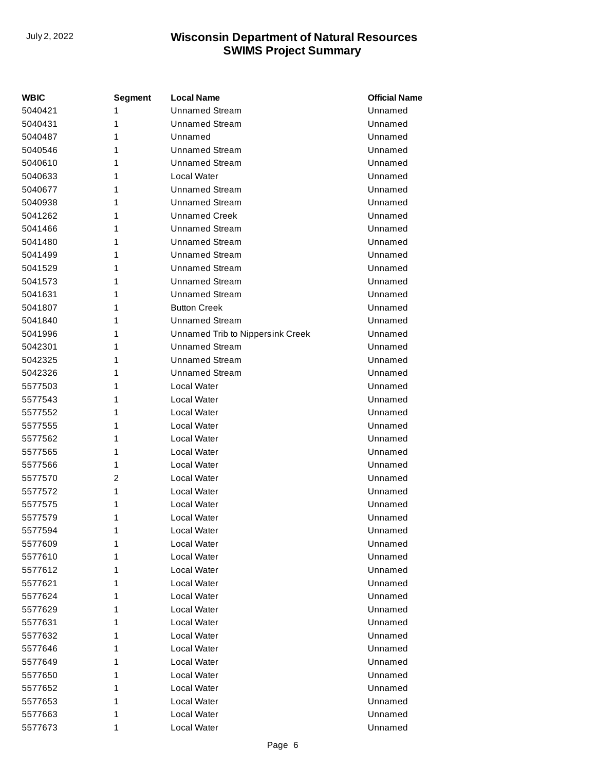| WBIC    | <b>Segment</b> | <b>Local Name</b>                | <b>Official Name</b> |
|---------|----------------|----------------------------------|----------------------|
| 5040421 | 1              | <b>Unnamed Stream</b>            | Unnamed              |
| 5040431 | 1              | <b>Unnamed Stream</b>            | Unnamed              |
| 5040487 | 1              | Unnamed                          | Unnamed              |
| 5040546 | 1              | <b>Unnamed Stream</b>            | Unnamed              |
| 5040610 | 1              | <b>Unnamed Stream</b>            | Unnamed              |
| 5040633 | 1              | Local Water                      | Unnamed              |
| 5040677 | 1              | <b>Unnamed Stream</b>            | Unnamed              |
| 5040938 | 1              | <b>Unnamed Stream</b>            | Unnamed              |
| 5041262 | 1              | <b>Unnamed Creek</b>             | Unnamed              |
| 5041466 | 1              | <b>Unnamed Stream</b>            | Unnamed              |
| 5041480 | 1              | <b>Unnamed Stream</b>            | Unnamed              |
| 5041499 | 1              | <b>Unnamed Stream</b>            | Unnamed              |
| 5041529 | 1              | <b>Unnamed Stream</b>            | Unnamed              |
| 5041573 | 1              | <b>Unnamed Stream</b>            | Unnamed              |
| 5041631 | 1              | <b>Unnamed Stream</b>            | Unnamed              |
| 5041807 | 1              | <b>Button Creek</b>              | Unnamed              |
| 5041840 | 1              | <b>Unnamed Stream</b>            | Unnamed              |
| 5041996 | 1              | Unnamed Trib to Nippersink Creek | Unnamed              |
| 5042301 | 1              | <b>Unnamed Stream</b>            | Unnamed              |
| 5042325 | 1              | <b>Unnamed Stream</b>            | Unnamed              |
| 5042326 | 1              | <b>Unnamed Stream</b>            | Unnamed              |
| 5577503 | 1              | Local Water                      | Unnamed              |
| 5577543 | 1              | Local Water                      | Unnamed              |
| 5577552 | 1              | Local Water                      | Unnamed              |
| 5577555 | 1              | Local Water                      | Unnamed              |
| 5577562 | 1              | Local Water                      | Unnamed              |
| 5577565 | 1              | Local Water                      | Unnamed              |
| 5577566 | 1              | Local Water                      | Unnamed              |
| 5577570 | $\overline{2}$ | Local Water                      | Unnamed              |
| 5577572 | 1              | Local Water                      | Unnamed              |
| 5577575 | 1              | Local Water                      | Unnamed              |
| 5577579 | 1              | Local Water                      | Unnamed              |
| 5577594 | 1              | Local Water                      | Unnamed              |
| 5577609 | 1              | Local Water                      | Unnamed              |
| 5577610 | 1              | Local Water                      | Unnamed              |
| 5577612 | 1              | Local Water                      | Unnamed              |
| 5577621 | 1              | Local Water                      | Unnamed              |
| 5577624 | 1              | Local Water                      | Unnamed              |
| 5577629 | 1              | Local Water                      | Unnamed              |
| 5577631 | 1              | Local Water                      | Unnamed              |
| 5577632 | 1              | Local Water                      | Unnamed              |
| 5577646 | 1              | Local Water                      | Unnamed              |
| 5577649 | 1              | Local Water                      | Unnamed              |
| 5577650 | 1              | Local Water                      | Unnamed              |
| 5577652 | 1              | Local Water                      | Unnamed              |
| 5577653 | 1              | Local Water                      | Unnamed              |
| 5577663 | 1              | Local Water                      | Unnamed              |
| 5577673 | 1              | Local Water                      | Unnamed              |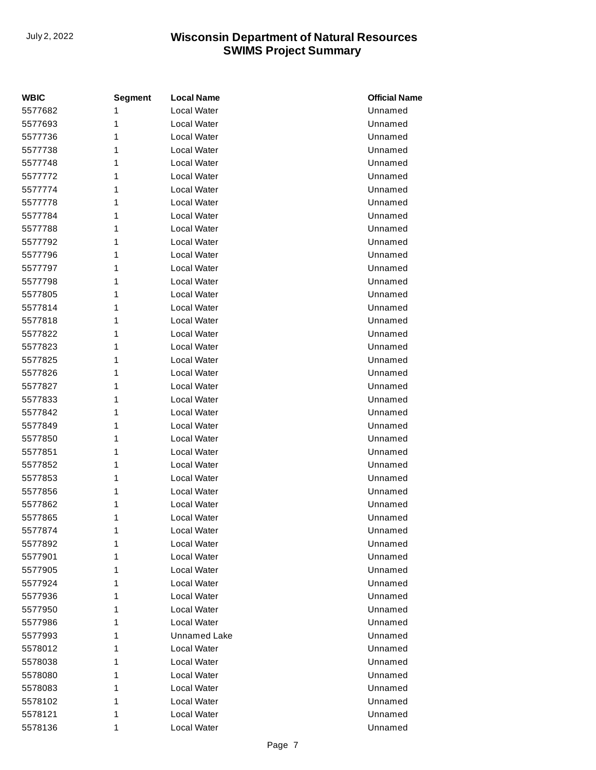| <b>WBIC</b> | <b>Segment</b> | <b>Local Name</b> | <b>Official Name</b> |
|-------------|----------------|-------------------|----------------------|
| 5577682     | 1              | Local Water       | Unnamed              |
| 5577693     | 1              | Local Water       | Unnamed              |
| 5577736     | 1              | Local Water       | Unnamed              |
| 5577738     | 1              | Local Water       | Unnamed              |
| 5577748     | 1              | Local Water       | Unnamed              |
| 5577772     | 1              | Local Water       | Unnamed              |
| 5577774     | 1              | Local Water       | Unnamed              |
| 5577778     | 1              | Local Water       | Unnamed              |
| 5577784     | 1              | Local Water       | Unnamed              |
| 5577788     | 1              | Local Water       | Unnamed              |
| 5577792     | 1              | Local Water       | Unnamed              |
| 5577796     | 1              | Local Water       | Unnamed              |
| 5577797     | 1              | Local Water       | Unnamed              |
| 5577798     | 1              | Local Water       | Unnamed              |
| 5577805     | 1              | Local Water       | Unnamed              |
| 5577814     | 1              | Local Water       | Unnamed              |
| 5577818     | 1              | Local Water       | Unnamed              |
| 5577822     | 1              | Local Water       | Unnamed              |
| 5577823     | 1              | Local Water       | Unnamed              |
| 5577825     | 1              | Local Water       | Unnamed              |
| 5577826     | 1              | Local Water       | Unnamed              |
| 5577827     | 1              | Local Water       | Unnamed              |
| 5577833     | 1              | Local Water       | Unnamed              |
| 5577842     | 1              | Local Water       | Unnamed              |
| 5577849     | 1              | Local Water       | Unnamed              |
| 5577850     | 1              | Local Water       | Unnamed              |
| 5577851     | 1              | Local Water       | Unnamed              |
| 5577852     | 1              | Local Water       | Unnamed              |
| 5577853     | 1              | Local Water       | Unnamed              |
| 5577856     | 1              | Local Water       | Unnamed              |
| 5577862     | 1              | Local Water       | Unnamed              |
| 5577865     | 1              | Local Water       | Unnamed              |
| 5577874     | 1              | Local Water       | Unnamed              |
| 5577892     | 1              | Local Water       | Unnamed              |
| 5577901     | 1              | Local Water       | Unnamed              |
| 5577905     | 1              | Local Water       | Unnamed              |
| 5577924     | 1              | Local Water       | Unnamed              |
| 5577936     | 1              | Local Water       | Unnamed              |
| 5577950     | 1              | Local Water       | Unnamed              |
| 5577986     | 1              | Local Water       | Unnamed              |
| 5577993     | 1              | Unnamed Lake      | Unnamed              |
| 5578012     | 1              | Local Water       | Unnamed              |
| 5578038     | 1              | Local Water       | Unnamed              |
| 5578080     | 1              | Local Water       | Unnamed              |
| 5578083     | 1              | Local Water       | Unnamed              |
| 5578102     | 1              | Local Water       | Unnamed              |
| 5578121     | 1              | Local Water       | Unnamed              |
| 5578136     | 1              | Local Water       | Unnamed              |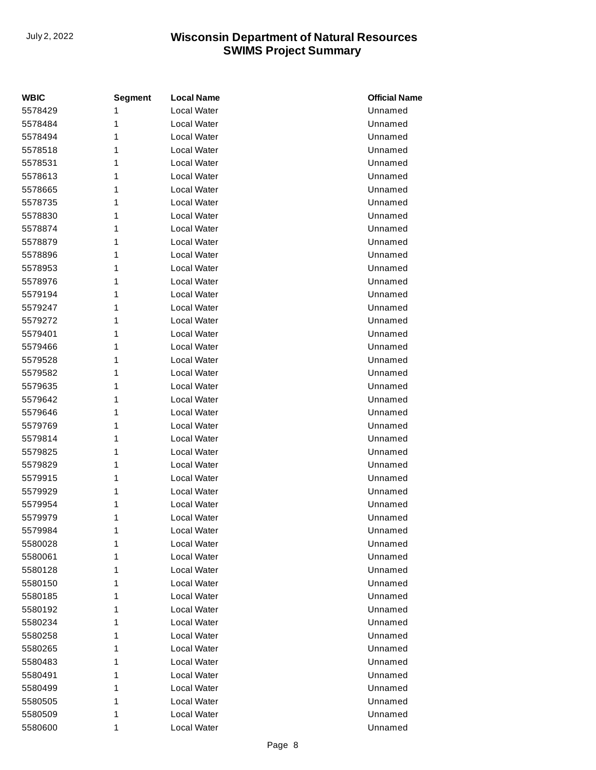| <b>WBIC</b> | <b>Segment</b> | <b>Local Name</b>  | <b>Official Name</b> |
|-------------|----------------|--------------------|----------------------|
| 5578429     | 1              | <b>Local Water</b> | Unnamed              |
| 5578484     | 1              | Local Water        | Unnamed              |
| 5578494     | 1              | Local Water        | Unnamed              |
| 5578518     | 1              | Local Water        | Unnamed              |
| 5578531     | 1              | Local Water        | Unnamed              |
| 5578613     | 1              | Local Water        | Unnamed              |
| 5578665     | 1              | Local Water        | Unnamed              |
| 5578735     | 1              | Local Water        | Unnamed              |
| 5578830     | 1              | Local Water        | Unnamed              |
| 5578874     | 1              | Local Water        | Unnamed              |
| 5578879     | 1              | Local Water        | Unnamed              |
| 5578896     | 1              | Local Water        | Unnamed              |
| 5578953     | 1              | Local Water        | Unnamed              |
| 5578976     | 1              | Local Water        | Unnamed              |
| 5579194     | 1              | Local Water        | Unnamed              |
| 5579247     | 1              | Local Water        | Unnamed              |
| 5579272     | 1              | Local Water        | Unnamed              |
| 5579401     | 1              | Local Water        | Unnamed              |
| 5579466     | 1              | Local Water        | Unnamed              |
| 5579528     | 1              | Local Water        | Unnamed              |
| 5579582     | 1              | Local Water        | Unnamed              |
| 5579635     | 1              | Local Water        | Unnamed              |
| 5579642     | 1              | Local Water        | Unnamed              |
| 5579646     | 1              | Local Water        | Unnamed              |
| 5579769     | 1              | Local Water        | Unnamed              |
| 5579814     | 1              | Local Water        | Unnamed              |
| 5579825     | 1              | Local Water        | Unnamed              |
| 5579829     | 1              | Local Water        | Unnamed              |
| 5579915     | 1              | Local Water        | Unnamed              |
| 5579929     | 1              | Local Water        | Unnamed              |
| 5579954     | 1              | Local Water        | Unnamed              |
| 5579979     | 1              | Local Water        | Unnamed              |
| 5579984     | 1              | Local Water        | Unnamed              |
| 5580028     | 1              | Local Water        | Unnamed              |
| 5580061     | 1              | Local Water        | Unnamed              |
| 5580128     | 1              | Local Water        | Unnamed              |
| 5580150     | 1              | Local Water        | Unnamed              |
| 5580185     | 1              | Local Water        | Unnamed              |
| 5580192     | 1              | Local Water        | Unnamed              |
| 5580234     | 1              | Local Water        | Unnamed              |
| 5580258     | 1              | Local Water        | Unnamed              |
| 5580265     | 1              | Local Water        | Unnamed              |
| 5580483     | 1              | Local Water        | Unnamed              |
| 5580491     | 1              | Local Water        | Unnamed              |
| 5580499     | 1              | Local Water        | Unnamed              |
| 5580505     | 1              | Local Water        | Unnamed              |
| 5580509     | 1              | Local Water        | Unnamed              |
| 5580600     | 1              | Local Water        | Unnamed              |